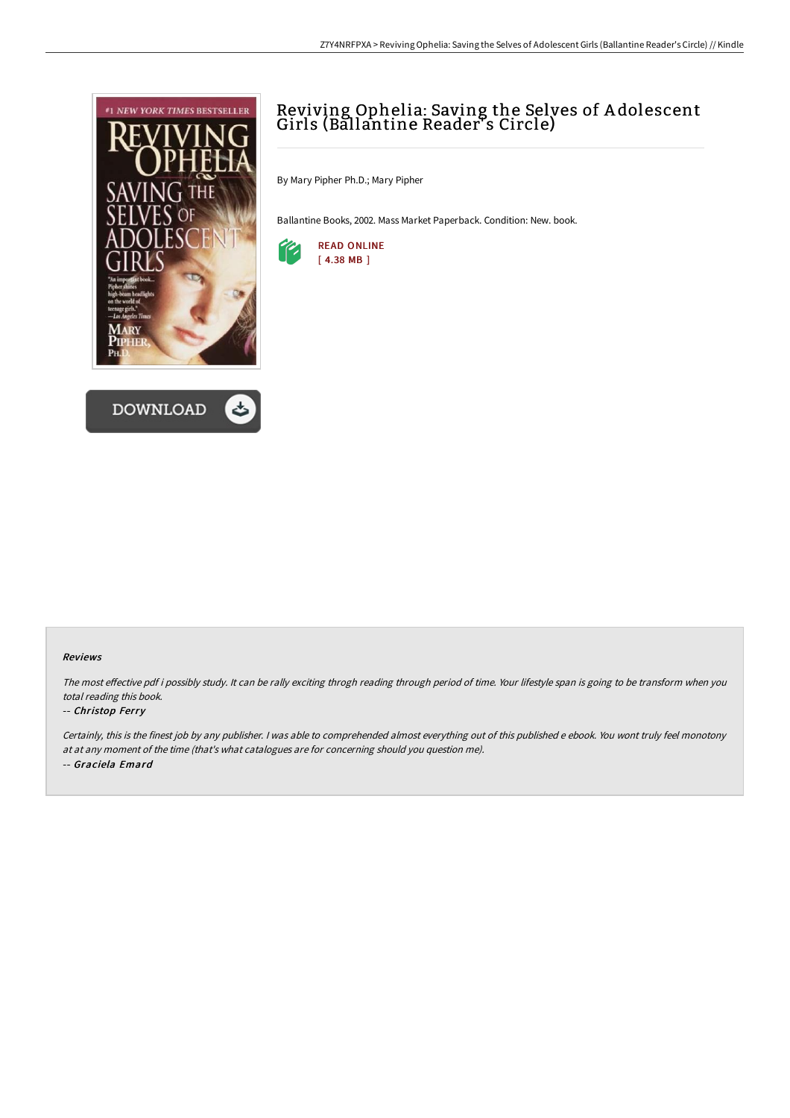



# Reviving Ophelia: Saving the Selves of A dolescent Girls (Ballantine Reader<sup>y</sup>s Circle)

By Mary Pipher Ph.D.; Mary Pipher

Ballantine Books, 2002. Mass Market Paperback. Condition: New. book.



#### Reviews

The most effective pdf i possibly study. It can be rally exciting throgh reading through period of time. Your lifestyle span is going to be transform when you total reading this book.

### -- Christop Ferry

Certainly, this is the finest job by any publisher. <sup>I</sup> was able to comprehended almost everything out of this published <sup>e</sup> ebook. You wont truly feel monotony at at any moment of the time (that's what catalogues are for concerning should you question me). -- Graciela Emard